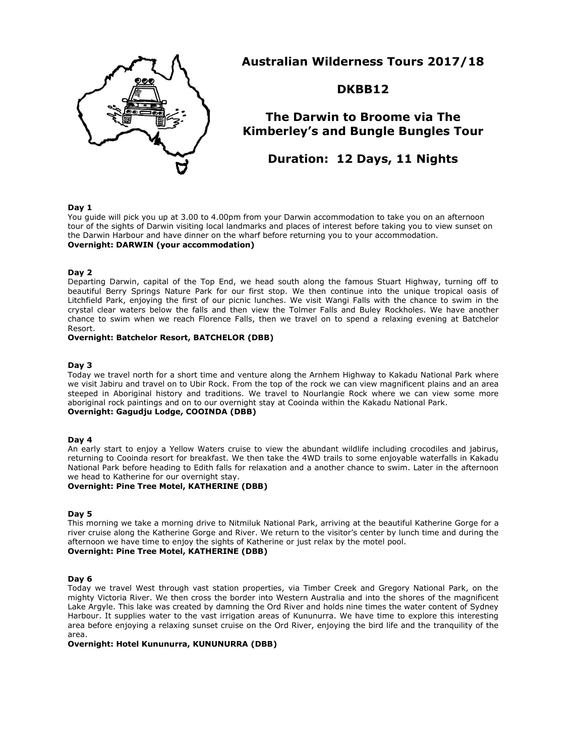

**Australian Wilderness Tours 2017/18**

**DKBB12**

# **The Darwin to Broome via The Kimberley's and Bungle Bungles Tour**

**Duration: 12 Days, 11 Nights**

#### **Day 1**

You guide will pick you up at 3.00 to 4.00pm from your Darwin accommodation to take you on an afternoon tour of the sights of Darwin visiting local landmarks and places of interest before taking you to view sunset on the Darwin Harbour and have dinner on the wharf before returning you to your accommodation. **Overnight: DARWIN (your accommodation)**

## **Day 2**

Departing Darwin, capital of the Top End, we head south along the famous Stuart Highway, turning off to beautiful Berry Springs Nature Park for our first stop. We then continue into the unique tropical oasis of Litchfield Park, enjoying the first of our picnic lunches. We visit Wangi Falls with the chance to swim in the crystal clear waters below the falls and then view the Tolmer Falls and Buley Rockholes. We have another chance to swim when we reach Florence Falls, then we travel on to spend a relaxing evening at Batchelor Resort.

#### **Overnight: Batchelor Resort, BATCHELOR (DBB)**

#### **Day 3**

Today we travel north for a short time and venture along the Arnhem Highway to Kakadu National Park where we visit Jabiru and travel on to Ubir Rock. From the top of the rock we can view magnificent plains and an area steeped in Aboriginal history and traditions. We travel to Nourlangie Rock where we can view some more aboriginal rock paintings and on to our overnight stay at Cooinda within the Kakadu National Park. **Overnight: Gagudju Lodge, COOINDA (DBB)**

#### **Day 4**

An early start to enjoy a Yellow Waters cruise to view the abundant wildlife including crocodiles and jabirus, returning to Cooinda resort for breakfast. We then take the 4WD trails to some enjoyable waterfalls in Kakadu National Park before heading to Edith falls for relaxation and a another chance to swim. Later in the afternoon we head to Katherine for our overnight stay.

# **Overnight: Pine Tree Motel, KATHERINE (DBB)**

# **Day 5**

This morning we take a morning drive to Nitmiluk National Park, arriving at the beautiful Katherine Gorge for a river cruise along the Katherine Gorge and River. We return to the visitor's center by lunch time and during the afternoon we have time to enjoy the sights of Katherine or just relax by the motel pool. **Overnight: Pine Tree Motel, KATHERINE (DBB)**

#### **Day 6**

Today we travel West through vast station properties, via Timber Creek and Gregory National Park, on the mighty Victoria River. We then cross the border into Western Australia and into the shores of the magnificent Lake Argyle. This lake was created by damning the Ord River and holds nine times the water content of Sydney Harbour. It supplies water to the vast irrigation areas of Kununurra. We have time to explore this interesting area before enjoying a relaxing sunset cruise on the Ord River, enjoying the bird life and the tranquility of the area.

#### **Overnight: Hotel Kununurra, KUNUNURRA (DBB)**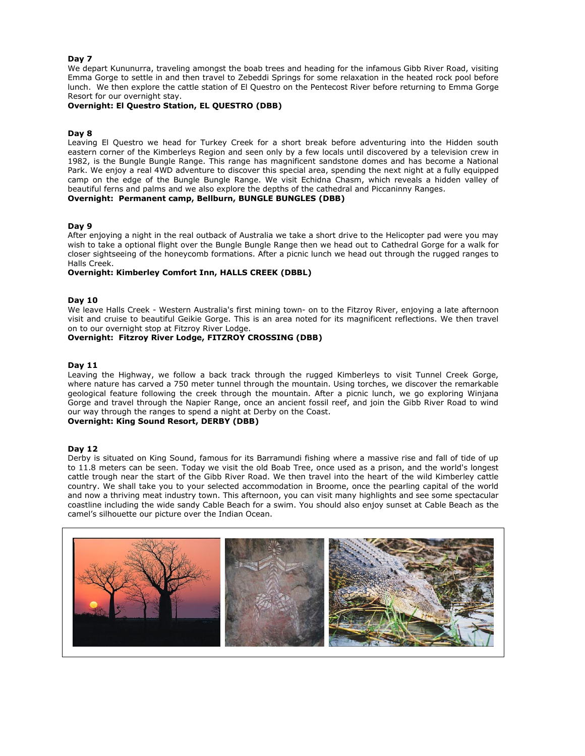## **Day 7**

We depart Kununurra, traveling amongst the boab trees and heading for the infamous Gibb River Road, visiting Emma Gorge to settle in and then travel to Zebeddi Springs for some relaxation in the heated rock pool before lunch. We then explore the cattle station of El Questro on the Pentecost River before returning to Emma Gorge Resort for our overnight stay.

## **Overnight: El Questro Station, EL QUESTRO (DBB)**

## **Day 8**

Leaving El Questro we head for Turkey Creek for a short break before adventuring into the Hidden south eastern corner of the Kimberleys Region and seen only by a few locals until discovered by a television crew in 1982, is the Bungle Bungle Range. This range has magnificent sandstone domes and has become a National Park. We enjoy a real 4WD adventure to discover this special area, spending the next night at a fully equipped camp on the edge of the Bungle Bungle Range. We visit Echidna Chasm, which reveals a hidden valley of beautiful ferns and palms and we also explore the depths of the cathedral and Piccaninny Ranges. **Overnight: Permanent camp, Bellburn, BUNGLE BUNGLES (DBB)**

#### **Day 9**

After enjoying a night in the real outback of Australia we take a short drive to the Helicopter pad were you may wish to take a optional flight over the Bungle Bungle Range then we head out to Cathedral Gorge for a walk for closer sightseeing of the honeycomb formations. After a picnic lunch we head out through the rugged ranges to Halls Creek.

## **Overnight: Kimberley Comfort Inn, HALLS CREEK (DBBL)**

#### **Day 10**

We leave Halls Creek - Western Australia's first mining town- on to the Fitzroy River, enjoying a late afternoon visit and cruise to beautiful Geikie Gorge. This is an area noted for its magnificent reflections. We then travel on to our overnight stop at Fitzroy River Lodge.

**Overnight: Fitzroy River Lodge, FITZROY CROSSING (DBB)**

#### **Day 11**

Leaving the Highway, we follow a back track through the rugged Kimberleys to visit Tunnel Creek Gorge, where nature has carved a 750 meter tunnel through the mountain. Using torches, we discover the remarkable geological feature following the creek through the mountain. After a picnic lunch, we go exploring Winjana Gorge and travel through the Napier Range, once an ancient fossil reef, and join the Gibb River Road to wind our way through the ranges to spend a night at Derby on the Coast.

# **Overnight: King Sound Resort, DERBY (DBB)**

#### **Day 12**

Derby is situated on King Sound, famous for its Barramundi fishing where a massive rise and fall of tide of up to 11.8 meters can be seen. Today we visit the old Boab Tree, once used as a prison, and the world's longest cattle trough near the start of the Gibb River Road. We then travel into the heart of the wild Kimberley cattle country. We shall take you to your selected accommodation in Broome, once the pearling capital of the world and now a thriving meat industry town. This afternoon, you can visit many highlights and see some spectacular coastline including the wide sandy Cable Beach for a swim. You should also enjoy sunset at Cable Beach as the camel's silhouette our picture over the Indian Ocean.